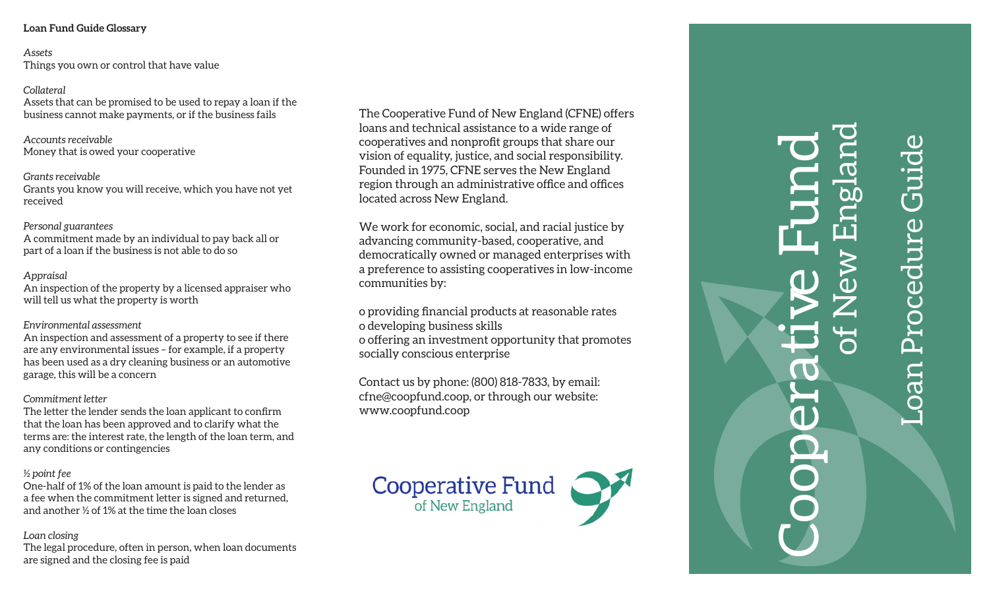*Assets* Things you own or control that have value

#### *Collateral*

Assets that can be promised to be used to repay a loan if the business cannot make payments, or if the business fails

*Accounts receivable*  Money that is owed your cooperative

#### *Grants receivable*  Grants you know you will receive, which you have not yet received

# *Personal guarantees*

Personal guarantees<br>A commitment made by an individual to pay back all or part of a loan if the business is not able to do so

#### *Appraisal*

An inspection of the property by a licensed appraiser who will tell us what the property is worth

## *Environmental assessment*

An inspection and assessment of a property to see if there are any environmental issues – for example, if a property has been used as a dry cleaning business or an automotive garage, this will be a concern

## *Commitment letter*

The letter the lender sends the loan applicant to confirm that the loan has been approved and to clarify what the terms are: the interest rate, the length of the loan term, and any conditions or contingencies

## *½ point fee*

One-half of 1% of the loan amount is paid to the lender as a fee when the commitment letter is signed and returned, and another ½ of 1% at the time the loan closes

## *Loan closing*

The legal procedure, often in person, when loan documents are signed and the closing fee is paid

The Cooperative Fund of New England (CFNE) offers loans and technical assistance to a wide range of cooperatives and nonprofit groups that share our vision of equality, justice, and social responsibility. Founded in 1975, CFNE serves the New England region through an administrative office and offices located across New England.

We work for economic, social, and racial justice by advancing community-based, cooperative, and democratically owned or managed enterprises with a preference to assisting cooperatives in low-income communities by:

o providing financial products at reasonable rates o developing business skills

o offering an investment opportunity that promotes socially conscious enterprise

Contact us by phone: (800) 818-7833, by email: cfne@coopfund.coop, or through our website: www.coopfund.coop